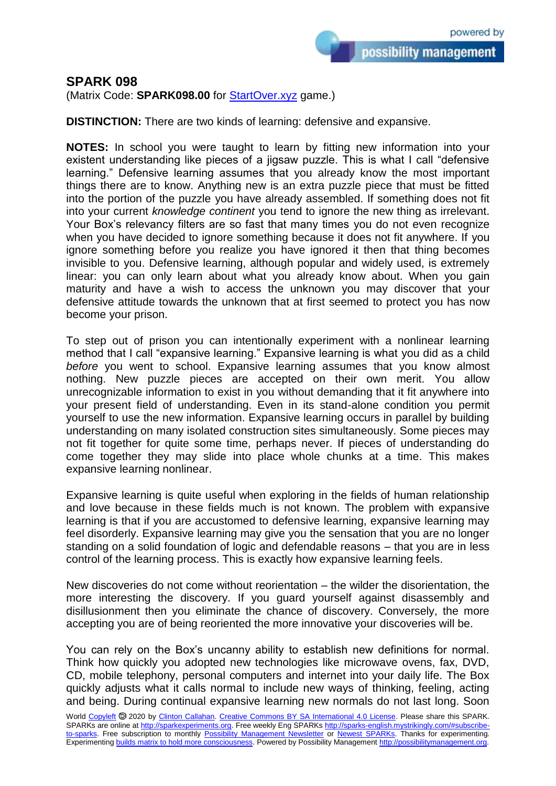## **SPARK 098**

(Matrix Code: **SPARK098.00** for [StartOver.xyz](https://startoverxyz.mystrikingly.com/) game.)

**DISTINCTION:** There are two kinds of learning: defensive and expansive.

**NOTES:** In school you were taught to learn by fitting new information into your existent understanding like pieces of a jigsaw puzzle. This is what I call "defensive learning." Defensive learning assumes that you already know the most important things there are to know. Anything new is an extra puzzle piece that must be fitted into the portion of the puzzle you have already assembled. If something does not fit into your current *knowledge continent* you tend to ignore the new thing as irrelevant. Your Box's relevancy filters are so fast that many times you do not even recognize when you have decided to ignore something because it does not fit anywhere. If you ignore something before you realize you have ignored it then that thing becomes invisible to you. Defensive learning, although popular and widely used, is extremely linear: you can only learn about what you already know about. When you gain maturity and have a wish to access the unknown you may discover that your defensive attitude towards the unknown that at first seemed to protect you has now become your prison.

To step out of prison you can intentionally experiment with a nonlinear learning method that I call "expansive learning." Expansive learning is what you did as a child *before* you went to school. Expansive learning assumes that you know almost nothing. New puzzle pieces are accepted on their own merit. You allow unrecognizable information to exist in you without demanding that it fit anywhere into your present field of understanding. Even in its stand-alone condition you permit yourself to use the new information. Expansive learning occurs in parallel by building understanding on many isolated construction sites simultaneously. Some pieces may not fit together for quite some time, perhaps never. If pieces of understanding do come together they may slide into place whole chunks at a time. This makes expansive learning nonlinear.

Expansive learning is quite useful when exploring in the fields of human relationship and love because in these fields much is not known. The problem with expansive learning is that if you are accustomed to defensive learning, expansive learning may feel disorderly. Expansive learning may give you the sensation that you are no longer standing on a solid foundation of logic and defendable reasons – that you are in less control of the learning process. This is exactly how expansive learning feels.

New discoveries do not come without reorientation – the wilder the disorientation, the more interesting the discovery. If you guard yourself against disassembly and disillusionment then you eliminate the chance of discovery. Conversely, the more accepting you are of being reoriented the more innovative your discoveries will be.

You can rely on the Box's uncanny ability to establish new definitions for normal. Think how quickly you adopted new technologies like microwave ovens, fax, DVD, CD, mobile telephony, personal computers and internet into your daily life. The Box quickly adjusts what it calls normal to include new ways of thinking, feeling, acting and being. During continual expansive learning new normals do not last long. Soon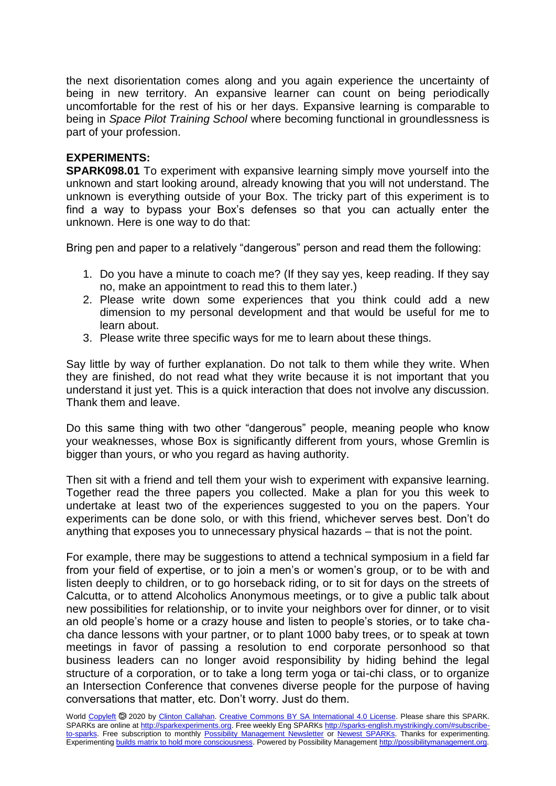the next disorientation comes along and you again experience the uncertainty of being in new territory. An expansive learner can count on being periodically uncomfortable for the rest of his or her days. Expansive learning is comparable to being in *Space Pilot Training School* where becoming functional in groundlessness is part of your profession.

## **EXPERIMENTS:**

**SPARK098.01** To experiment with expansive learning simply move yourself into the unknown and start looking around, already knowing that you will not understand. The unknown is everything outside of your Box. The tricky part of this experiment is to find a way to bypass your Box's defenses so that you can actually enter the unknown. Here is one way to do that:

Bring pen and paper to a relatively "dangerous" person and read them the following:

- 1. Do you have a minute to coach me? (If they say yes, keep reading. If they say no, make an appointment to read this to them later.)
- 2. Please write down some experiences that you think could add a new dimension to my personal development and that would be useful for me to learn about.
- 3. Please write three specific ways for me to learn about these things.

Say little by way of further explanation. Do not talk to them while they write. When they are finished, do not read what they write because it is not important that you understand it just yet. This is a quick interaction that does not involve any discussion. Thank them and leave.

Do this same thing with two other "dangerous" people, meaning people who know your weaknesses, whose Box is significantly different from yours, whose Gremlin is bigger than yours, or who you regard as having authority.

Then sit with a friend and tell them your wish to experiment with expansive learning. Together read the three papers you collected. Make a plan for you this week to undertake at least two of the experiences suggested to you on the papers. Your experiments can be done solo, or with this friend, whichever serves best. Don't do anything that exposes you to unnecessary physical hazards – that is not the point.

For example, there may be suggestions to attend a technical symposium in a field far from your field of expertise, or to join a men's or women's group, or to be with and listen deeply to children, or to go horseback riding, or to sit for days on the streets of Calcutta, or to attend Alcoholics Anonymous meetings, or to give a public talk about new possibilities for relationship, or to invite your neighbors over for dinner, or to visit an old people's home or a crazy house and listen to people's stories, or to take chacha dance lessons with your partner, or to plant 1000 baby trees, or to speak at town meetings in favor of passing a resolution to end corporate personhood so that business leaders can no longer avoid responsibility by hiding behind the legal structure of a corporation, or to take a long term yoga or tai-chi class, or to organize an Intersection Conference that convenes diverse people for the purpose of having conversations that matter, etc. Don't worry. Just do them.